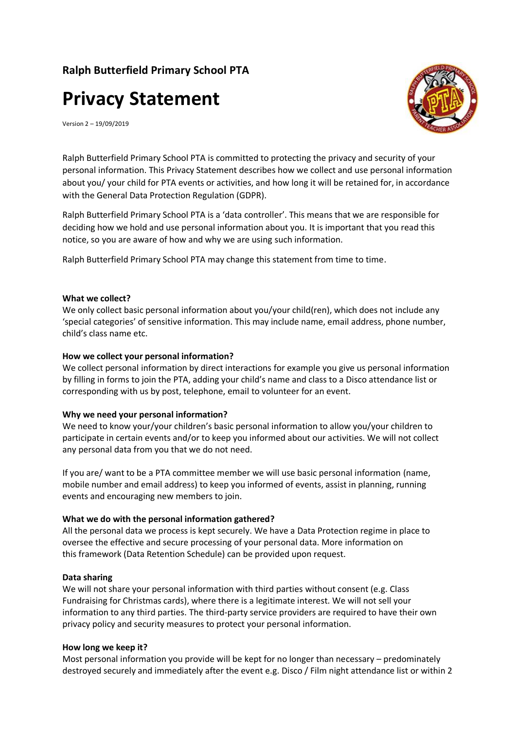## **Ralph Butterfield Primary School PTA**

# **Privacy Statement**



Version 2 – 19/09/2019

Ralph Butterfield Primary School PTA is committed to protecting the privacy and security of your personal information. This Privacy Statement describes how we collect and use personal information about you/ your child for PTA events or activities, and how long it will be retained for, in accordance with the General Data Protection Regulation (GDPR).

Ralph Butterfield Primary School PTA is a 'data controller'. This means that we are responsible for deciding how we hold and use personal information about you. It is important that you read this notice, so you are aware of how and why we are using such information.

Ralph Butterfield Primary School PTA may change this statement from time to time.

#### **What we collect?**

We only collect basic personal information about you/your child(ren), which does not include any 'special categories' of sensitive information. This may include name, email address, phone number, child's class name etc.

#### **How we collect your personal information?**

We collect personal information by direct interactions for example you give us personal information by filling in forms to join the PTA, adding your child's name and class to a Disco attendance list or corresponding with us by post, telephone, email to volunteer for an event.

#### **Why we need your personal information?**

We need to know your/your children's basic personal information to allow you/your children to participate in certain events and/or to keep you informed about our activities. We will not collect any personal data from you that we do not need.

If you are/ want to be a PTA committee member we will use basic personal information (name, mobile number and email address) to keep you informed of events, assist in planning, running events and encouraging new members to join.

#### **What we do with the personal information gathered?**

All the personal data we process is kept securely. We have a Data Protection regime in place to oversee the effective and secure processing of your personal data. More information on this framework (Data Retention Schedule) can be provided upon request.

#### **Data sharing**

We will not share your personal information with third parties without consent (e.g. Class Fundraising for Christmas cards), where there is a legitimate interest. We will not sell your information to any third parties. The third-party service providers are required to have their own privacy policy and security measures to protect your personal information.

#### **How long we keep it?**

Most personal information you provide will be kept for no longer than necessary – predominately destroyed securely and immediately after the event e.g. Disco / Film night attendance list or within 2